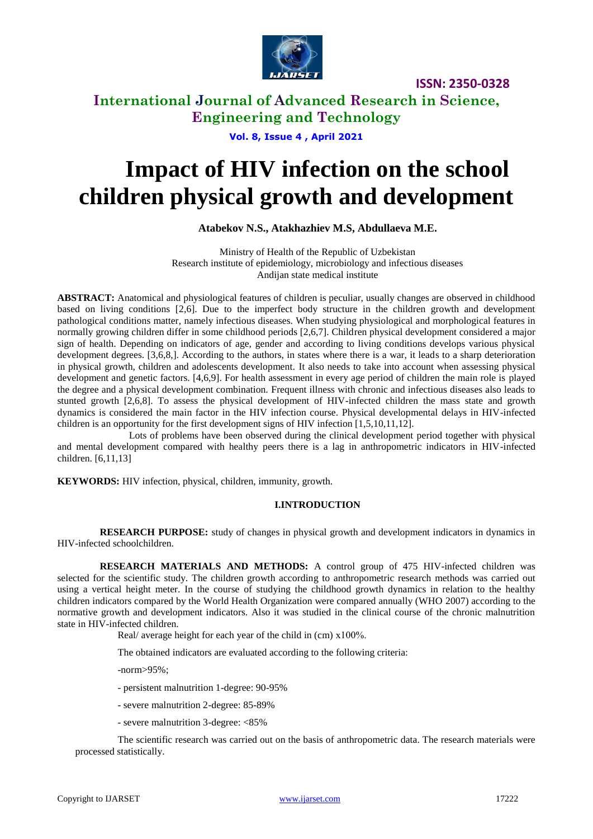

# **International Journal of Advanced Research in Science, Engineering and Technology**

**Vol. 8, Issue 4 , April 2021**

# **Impact of HIV infection on the school children physical growth and development**

## **Atabekov N.S., Atakhazhiev M.S, Abdullaeva M.E.**

Ministry of Health of the Republic of Uzbekistan Research institute of epidemiology, microbiology and infectious diseases Andijan state medical institute

**ABSTRACT:** Anatomical and physiological features of children is peculiar, usually changes are observed in childhood based on living conditions [2,6]. Due to the imperfect body structure in the children growth and development pathological conditions matter, namely infectious diseases. When studying physiological and morphological features in normally growing children differ in some childhood periods [2,6,7]. Children physical development considered a major sign of health. Depending on indicators of age, gender and according to living conditions develops various physical development degrees. [3,6,8,]. According to the authors, in states where there is a war, it leads to a sharp deterioration in physical growth, children and adolescents development. It also needs to take into account when assessing physical development and genetic factors. [4,6,9]. For health assessment in every age period of children the main role is played the degree and a physical development combination. Frequent illness with chronic and infectious diseases also leads to stunted growth [2,6,8]. To assess the physical development of HIV-infected children the mass state and growth dynamics is considered the main factor in the HIV infection course. Physical developmental delays in HIV-infected children is an opportunity for the first development signs of HIV infection [1,5,10,11,12].

Lots of problems have been observed during the clinical development period together with physical and mental development compared with healthy peers there is a lag in anthropometric indicators in HIV-infected children. [6,11,13]

**KEYWORDS:** HIV infection, physical, children, immunity, growth.

#### **I.INTRODUCTION**

**RESEARCH PURPOSE:** study of changes in physical growth and development indicators in dynamics in HIV-infected schoolchildren.

**RESEARCH MATERIALS AND METHODS:** A control group of 475 HIV-infected children was selected for the scientific study. The children growth according to anthropometric research methods was carried out using a vertical height meter. In the course of studying the childhood growth dynamics in relation to the healthy children indicators compared by the World Health Organization were compared annually (WHO 2007) according to the normative growth and development indicators. Also it was studied in the clinical course of the chronic malnutrition state in HIV-infected children.

Real/ average height for each year of the child in (cm)  $x100\%$ .

The obtained indicators are evaluated according to the following criteria:

-norm>95%;

- persistent malnutrition 1-degree: 90-95%
- severe malnutrition 2-degree: 85-89%
- severe malnutrition 3-degree: <85%

The scientific research was carried out on the basis of anthropometric data. The research materials were processed statistically.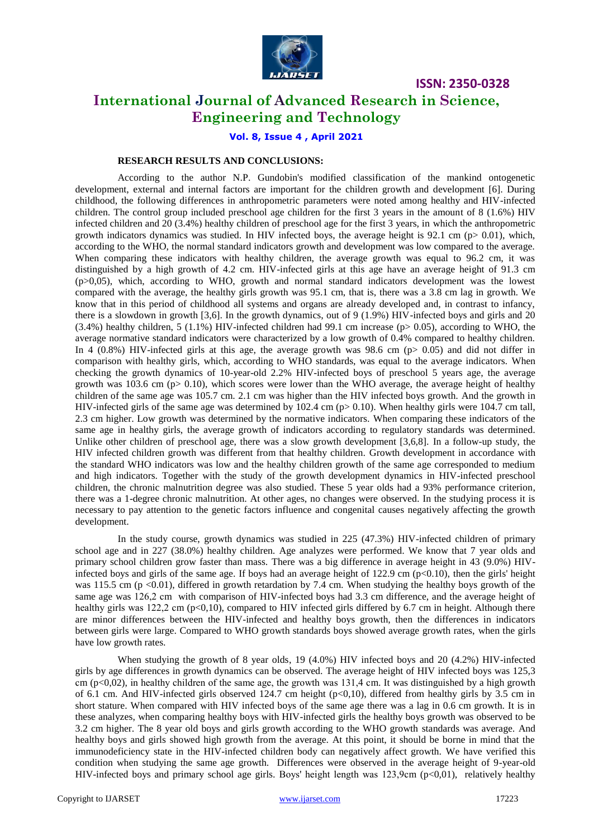

# **International Journal of Advanced Research in Science, Engineering and Technology**

**Vol. 8, Issue 4 , April 2021**

#### **RESEARCH RESULTS AND CONCLUSIONS:**

According to the author N.P. Gundobin's modified classification of the mankind ontogenetic development, external and internal factors are important for the children growth and development [6]. During childhood, the following differences in anthropometric parameters were noted among healthy and HIV-infected children. The control group included preschool age children for the first 3 years in the amount of 8 (1.6%) HIV infected children and 20 (3.4%) healthy children of preschool age for the first 3 years, in which the anthropometric growth indicators dynamics was studied. In HIV infected boys, the average height is 92.1 cm ( $p$  > 0.01), which, according to the WHO, the normal standard indicators growth and development was low compared to the average. When comparing these indicators with healthy children, the average growth was equal to 96.2 cm, it was distinguished by a high growth of 4.2 cm. HIV-infected girls at this age have an average height of 91.3 cm (p>0,05), which, according to WHO, growth and normal standard indicators development was the lowest compared with the average, the healthy girls growth was 95.1 cm, that is, there was a 3.8 cm lag in growth. We know that in this period of childhood all systems and organs are already developed and, in contrast to infancy, there is a slowdown in growth [3,6]. In the growth dynamics, out of 9 (1.9%) HIV-infected boys and girls and 20  $(3.4\%)$  healthy children, 5 (1.1%) HIV-infected children had 99.1 cm increase (p $> 0.05$ ), according to WHO, the average normative standard indicators were characterized by a low growth of 0.4% compared to healthy children. In 4  $(0.8%)$  HIV-infected girls at this age, the average growth was 98.6 cm (p $> 0.05$ ) and did not differ in comparison with healthy girls, which, according to WHO standards, was equal to the average indicators. When checking the growth dynamics of 10-year-old 2.2% HIV-infected boys of preschool 5 years age, the average growth was 103.6 cm ( $p > 0.10$ ), which scores were lower than the WHO average, the average height of healthy children of the same age was 105.7 cm. 2.1 cm was higher than the HIV infected boys growth. And the growth in HIV-infected girls of the same age was determined by 102.4 cm (p> 0.10). When healthy girls were 104.7 cm tall, 2.3 cm higher. Low growth was determined by the normative indicators. When comparing these indicators of the same age in healthy girls, the average growth of indicators according to regulatory standards was determined. Unlike other children of preschool age, there was a slow growth development [3,6,8]. In a follow-up study, the HIV infected children growth was different from that healthy children. Growth development in accordance with the standard WHO indicators was low and the healthy children growth of the same age corresponded to medium and high indicators. Together with the study of the growth development dynamics in HIV-infected preschool children, the chronic malnutrition degree was also studied. These 5 year olds had a 93% performance criterion, there was a 1-degree chronic malnutrition. At other ages, no changes were observed. In the studying process it is necessary to pay attention to the genetic factors influence and congenital causes negatively affecting the growth development.

In the study course, growth dynamics was studied in 225 (47.3%) HIV-infected children of primary school age and in 227 (38.0%) healthy children. Age analyzes were performed. We know that 7 year olds and primary school children grow faster than mass. There was a big difference in average height in 43 (9.0%) HIVinfected boys and girls of the same age. If boys had an average height of  $122.9 \text{ cm } (\text{p} < 0.10)$ , then the girls' height was 115.5 cm ( $p \le 0.01$ ), differed in growth retardation by 7.4 cm. When studying the healthy boys growth of the same age was 126,2 cm with comparison of HIV-infected boys had 3.3 cm difference, and the average height of healthy girls was 122,2 cm ( $p<0,10$ ), compared to HIV infected girls differed by 6.7 cm in height. Although there are minor differences between the HIV-infected and healthy boys growth, then the differences in indicators between girls were large. Compared to WHO growth standards boys showed average growth rates, when the girls have low growth rates.

When studying the growth of 8 year olds, 19 (4.0%) HIV infected boys and 20 (4.2%) HIV-infected girls by age differences in growth dynamics can be observed. The average height of HIV infected boys was 125,3 cm  $(p<0.02)$ , in healthy children of the same age, the growth was 131.4 cm. It was distinguished by a high growth of 6.1 cm. And HIV-infected girls observed 124.7 cm height ( $p<0,10$ ), differed from healthy girls by 3.5 cm in short stature. When compared with HIV infected boys of the same age there was a lag in 0.6 cm growth. It is in these analyzes, when comparing healthy boys with HIV-infected girls the healthy boys growth was observed to be 3.2 cm higher. The 8 year old boys and girls growth according to the WHO growth standards was average. And healthy boys and girls showed high growth from the average. At this point, it should be borne in mind that the immunodeficiency state in the HIV-infected children body can negatively affect growth. We have verified this condition when studying the same age growth. Differences were observed in the average height of 9-year-old HIV-infected boys and primary school age girls. Boys' height length was 123,9сm (p<0,01), relatively healthy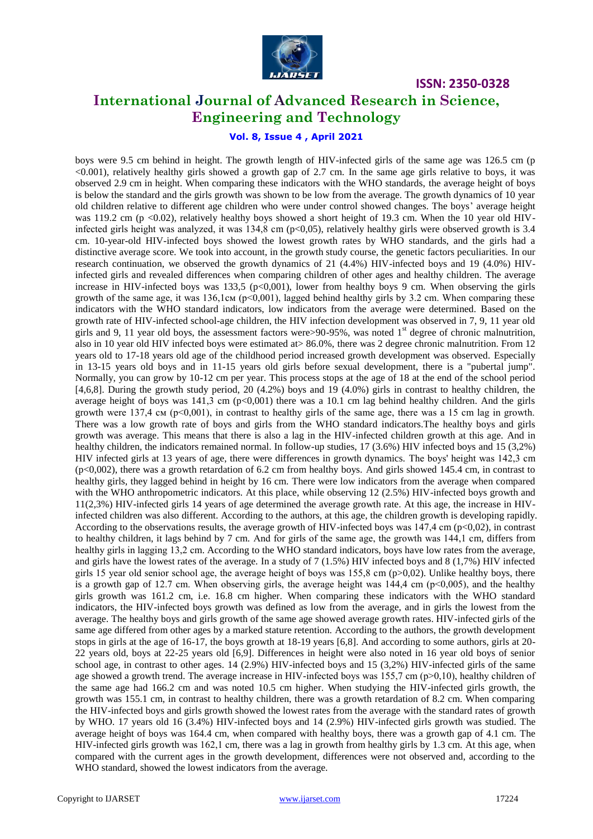

# **International Journal of Advanced Research in Science, Engineering and Technology**

### **Vol. 8, Issue 4 , April 2021**

boys were 9.5 cm behind in height. The growth length of HIV-infected girls of the same age was 126.5 cm (p <0.001), relatively healthy girls showed a growth gap of 2.7 cm. In the same age girls relative to boys, it was observed 2.9 cm in height. When comparing these indicators with the WHO standards, the average height of boys is below the standard and the girls growth was shown to be low from the average. The growth dynamics of 10 year old children relative to different age children who were under control showed changes. The boys' average height was 119.2 cm (p  $\langle 0.02 \rangle$ , relatively healthy boys showed a short height of 19.3 cm. When the 10 year old HIVinfected girls height was analyzed, it was 134,8 cm (p<0,05), relatively healthy girls were observed growth is 3.4 cm. 10-year-old HIV-infected boys showed the lowest growth rates by WHO standards, and the girls had a distinctive average score. We took into account, in the growth study course, the genetic factors peculiarities. In our research continuation, we observed the growth dynamics of 21 (4.4%) HIV-infected boys and 19 (4.0%) HIVinfected girls and revealed differences when comparing children of other ages and healthy children. The average increase in HIV-infected boys was  $133,5$  (p<0,001), lower from healthy boys 9 cm. When observing the girls growth of the same age, it was  $136,1$ cm (p<0,001), lagged behind healthy girls by 3.2 cm. When comparing these indicators with the WHO standard indicators, low indicators from the average were determined. Based on the growth rate of HIV-infected school-age children, the HIV infection development was observed in 7, 9, 11 year old girls and 9, 11 year old boys, the assessment factors were  $>$ 90-95%, was noted 1<sup>st</sup> degree of chronic malnutrition, also in 10 year old HIV infected boys were estimated at> 86.0%, there was 2 degree chronic malnutrition. From 12 years old to 17-18 years old age of the childhood period increased growth development was observed. Especially in 13-15 years old boys and in 11-15 years old girls before sexual development, there is a "pubertal jump". Normally, you can grow by 10-12 cm per year. This process stops at the age of 18 at the end of the school period [4,6,8]. During the growth study period, 20 (4.2%) boys and 19 (4.0%) girls in contrast to healthy children, the average height of boys was  $141,3$  cm (p<0,001) there was a 10.1 cm lag behind healthy children. And the girls growth were 137,4 cm ( $p<0,001$ ), in contrast to healthy girls of the same age, there was a 15 cm lag in growth. There was a low growth rate of boys and girls from the WHO standard indicators.The healthy boys and girls growth was average. This means that there is also a lag in the HIV-infected children growth at this age. And in healthy children, the indicators remained normal. In follow-up studies, 17 (3.6%) HIV infected boys and 15 (3.2%) HIV infected girls at 13 years of age, there were differences in growth dynamics. The boys' height was 142,3 сm  $(p<0.002)$ , there was a growth retardation of 6.2 cm from healthy boys. And girls showed 145.4 cm, in contrast to healthy girls, they lagged behind in height by 16 cm. There were low indicators from the average when compared with the WHO anthropometric indicators. At this place, while observing 12 (2.5%) HIV-infected boys growth and 11(2,3%) HIV-infected girls 14 years of age determined the average growth rate. At this age, the increase in HIVinfected children was also different. According to the authors, at this age, the children growth is developing rapidly. According to the observations results, the average growth of HIV-infected boys was  $147.4 \text{ cm } (p<0.02)$ , in contrast to healthy children, it lags behind by 7 cm. And for girls of the same age, the growth was 144,1 сm, differs from healthy girls in lagging 13,2 cm. According to the WHO standard indicators, boys have low rates from the average, and girls have the lowest rates of the average. In a study of 7 (1.5%) HIV infected boys and 8 (1,7%) HIV infected girls 15 year old senior school age, the average height of boys was 155,8 cm ( $p>0.02$ ). Unlike healthy boys, there is a growth gap of 12.7 cm. When observing girls, the average height was  $144.4 \text{ cm } (p<0.005)$ , and the healthy girls growth was 161.2 cm, i.e. 16.8 cm higher. When comparing these indicators with the WHO standard indicators, the HIV-infected boys growth was defined as low from the average, and in girls the lowest from the average. The healthy boys and girls growth of the same age showed average growth rates. HIV-infected girls of the same age differed from other ages by a marked stature retention. According to the authors, the growth development stops in girls at the age of 16-17, the boys growth at 18-19 years [6,8]. And according to some authors, girls at 20- 22 years old, boys at 22-25 years old [6,9]. Differences in height were also noted in 16 year old boys of senior school age, in contrast to other ages. 14 (2.9%) HIV-infected boys and 15 (3,2%) HIV-infected girls of the same age showed a growth trend. The average increase in HIV-infected boys was  $155,7$  cm ( $p>0,10$ ), healthy children of the same age had 166.2 cm and was noted 10.5 cm higher. When studying the HIV-infected girls growth, the growth was 155.1 cm, in contrast to healthy children, there was a growth retardation of 8.2 cm. When comparing the HIV-infected boys and girls growth showed the lowest rates from the average with the standard rates of growth by WHO. 17 years old 16 (3.4%) HIV-infected boys and 14 (2.9%) HIV-infected girls growth was studied. The average height of boys was 164.4 cm, when compared with healthy boys, there was a growth gap of 4.1 cm. The HIV-infected girls growth was 162,1 сm, there was a lag in growth from healthy girls by 1.3 cm. At this age, when compared with the current ages in the growth development, differences were not observed and, according to the WHO standard, showed the lowest indicators from the average.